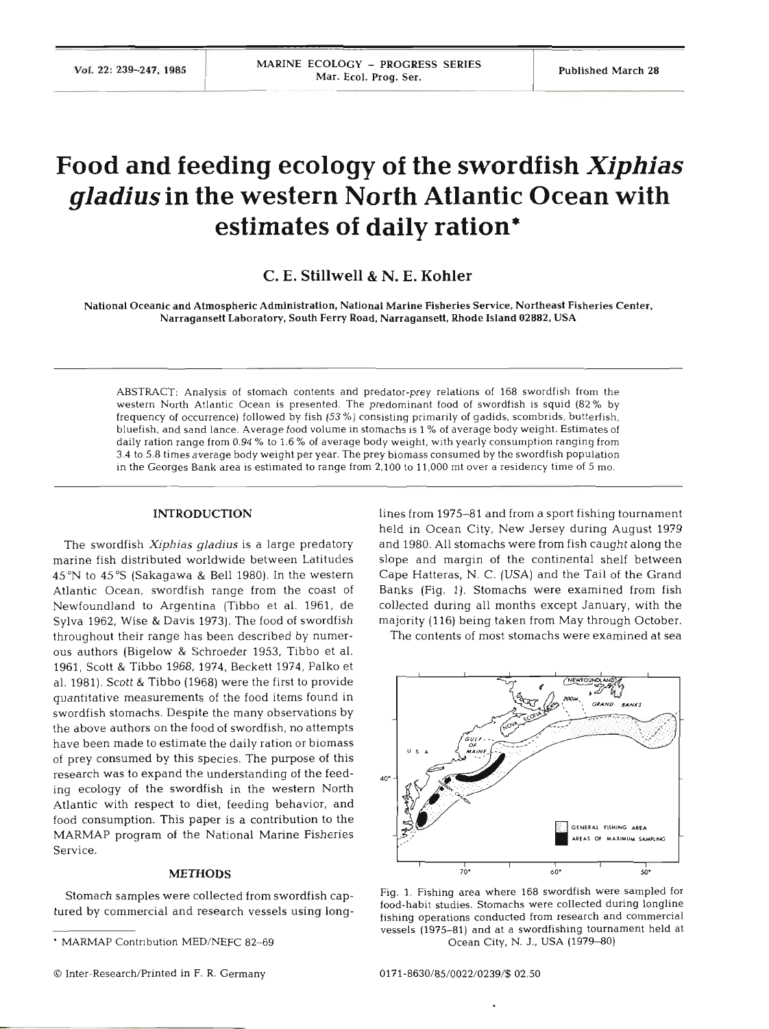# **Food and feeding ecology of the swordfish** *Xiphias*  **gladius in the western North Atlantic Ocean with estimates of daily ration\***

## **C. E. Stillwell** & **N. E. Kohler**

National Oceanic and Atmospheric Administration, National Marine Fisheries Service, Northeast Fisheries Center, Narragansett Laboratory, South Ferry Road, Narragansett, Rhode Island **02882,** USA

ABSTRACT: Analysis of stomach contents and predator-prey relations of **168** swordfish from the western North Atlantic Ocean is presented. The predominant food of swordfish is squid (82 % by frequency of occurrence) followed by fish *(53* %) consisting primarily of gadids, scombrids, butterfish, bluefish, and sand lance. Average food volume in stomachs is **1** % of average body weight. Estimates of daily ration range from **0.94** % to **1.6** % of average body weight, with yearly consumption ranging from **3.4** to **5.8** times average body weight per year. The prey biomass consumed by the swordfish population in the Georges Bank area is estimated to range from **2,100** to **11,000** mt over a residency time of *5* mo.

#### **INTRODUCTION**

The swordfish *Xiphias gladius* is a large predatory marine fish distributed worldwide between Latitude 45°N to 45°S (Sakagawa & Bell 1980). In the western Atlantic Ocean, swordfish range from the coast of Newfoundland to Argentina (Tibbo et al. 1961, de Sylva 1962, Wise & Davis 1973). The food of swordfish throughout their range has been described by numerous authors (Bigelow & Schroeder 1953, Tibbo et al. 1961, Scott & Tibbo 1968, 1974, Beckett 1974, Palko et al. 1981). Scott & Tibbo (1968) were the first to provide quantitative measurements of the food items found in swordfish stomachs. Despite the many observations by the above authors on the food of swordfish, no attempts have been made to estimate the daily ration or biomass of prey consumed by this species. The purpose of this research was to expand the understanding of the feeding ecology of the swordfish in the western North Atlantic with respect to diet, feeding behavior, and food consumption. This paper is a contribution to the MARMAP program **of** the National Marine Fisheries Service.

#### **METHOD**

lines from 1975-81 and from a sport fishing tournament held in Ocean City, New Jersey during August 1979 and 1980. All stomachs were from fish caught along the slope and margin of the continental shelf between Cape Hatteras, N. C. (USA) and the Tail of the Grand Banks (Fig. 1). Stomachs were examined from fish collected during all months except January, with the majority (1 16) being taken from May through October.

The contents of most stomachs were examined at sea



Stomach samples were collected from swordfish cap-<br>
Fig. 1. Fishing area where 168 swordfish were sampled for<br>
tional studies. Stomachs were collected during longline<br>
tional studies. Stomachs were collected during longlin fishing operations conducted from research and commercial vessels **(i975-81)** and at a swordfishing tournament held at Ocean City, N. J., USA (1979–80)

MARMAP Contribution MED/NEFC **82-69**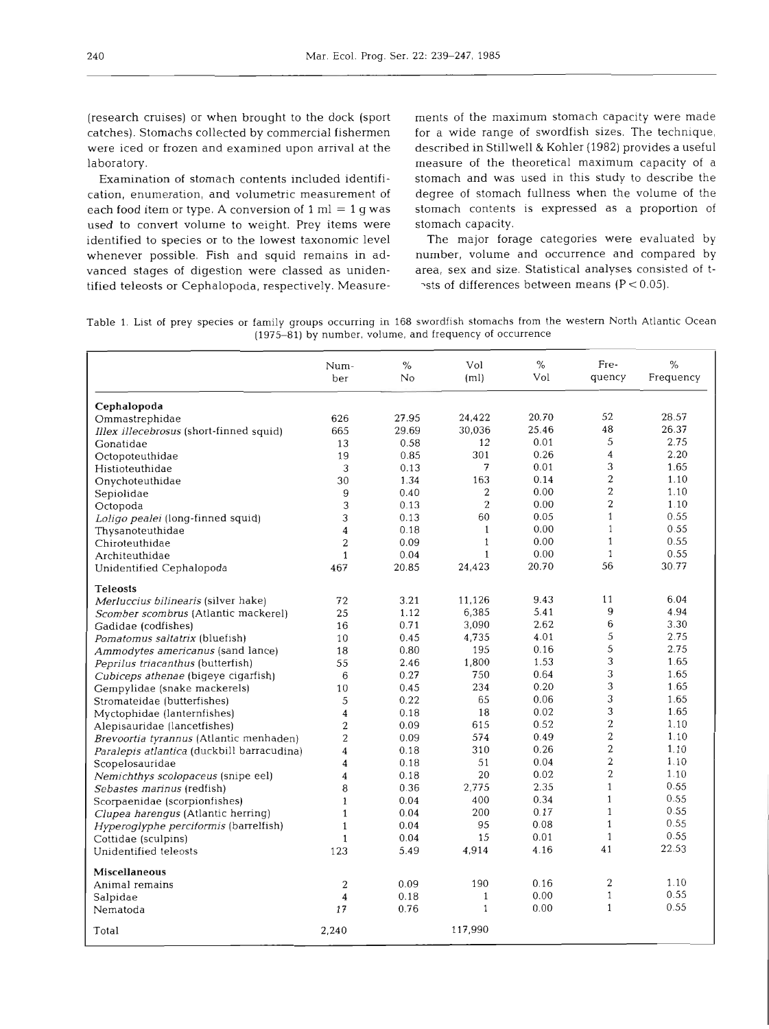(research cruises) or when brought to the dock (sport catches). Stomachs collected by commercial fishermen were iced or frozen and examined upon arrival at the laboratory.

Examination of stomach contents included identifjcation, enumeration, and volumetric measurement of each food item or type. **A** conversion of 1 m1 = 1 g was used to convert volume to weight. Prey items were identified to species or to the lowest taxonomic level whenever possible. Fish and squid remains in advanced stages of digestion were classed as unidentified teleosts or Cephalopoda, respectively. Measure-

dock (sport ments of the maximum stomach capac<br>
fishermen for a wide range of swordfish sizes. T<br>
rival at the described in Stillwell & Kohler (1982) pr<br>
measure of the theoretical maximum<br>
ed identifi-<br>
stomach and was u

 $\gamma$ sts of differences between means (P < 0.05).

Table 1. List of prey species or family groups occurring in 168 swordfish stomachs from the western North Atlantic Ocean (1975-81) by number, volume, and frequency of occurrence

|                                            | Num-<br>ber             | $\frac{0}{2}$<br>No | Vol<br>(m <sub>l</sub> ) | $\%$<br>Vol | Fre-<br>quency   | $\%$<br>Frequency |
|--------------------------------------------|-------------------------|---------------------|--------------------------|-------------|------------------|-------------------|
| Cephalopoda                                |                         |                     |                          |             |                  |                   |
| Ommastrephidae                             | 626                     | 27.95               | 24,422                   | 20.70       | 52               | 28.57             |
| Illex illecebrosus (short-finned squid)    | 665                     | 29.69               | 30,036                   | 25.46       | 48               | 26.37             |
| Gonatidae                                  | 13                      | 0.58                | 12                       | 0.01        | 5                | 2.75              |
| Octopoteuthidae                            | 19                      | 0.85                | 301                      | 0.26        | $\overline{4}$   | 2.20              |
| Histioteuthidae                            | 3                       | 0.13                | 7                        | 0.01        | 3                | 1.65              |
| Onychoteuthidae                            | 30                      | 1.34                | 163                      | 0.14        | $\overline{c}$   | 1.10              |
| Sepiolidae                                 | 9                       | 0.40                | 2                        | 0.00        | $\boldsymbol{2}$ | 1.10              |
| Octopoda                                   | 3                       | 0.13                | 2                        | 0.00        | $\overline{2}$   | 1.10              |
| Loligo pealei (long-finned squid)          | 3                       | 0.13                | 60                       | 0.05        | $\mathbf{1}$     | 0.55              |
| Thysanoteuthidae                           | 4                       | 0.18                | $\mathbf{1}$             | 0.00        | $\mathbf{1}$     | 0.55              |
| Chiroteuthidae                             | $\overline{2}$          | 0.09                | $\mathbf{1}$             | 0.00        | $\mathbf{1}$     | 0.55              |
| Architeuthidae                             | $\mathbf{1}$            | 0.04                | 1                        | 0.00        | $\mathbf{1}$     | 0.55              |
| Unidentified Cephalopoda                   | 467                     | 20.85               | 24,423                   | 20.70       | 56               | 30.77             |
| <b>Teleosts</b>                            |                         |                     |                          |             |                  |                   |
| Merluccius bilinearis (silver hake)        | 72                      | 3.21                | 11,126                   | 9.43        | 11               | 6.04              |
| Scomber scombrus (Atlantic mackerel)       | 25                      | 1.12                | 6,385                    | 5.41        | 9                | 4.94              |
| Gadidae (codfishes)                        | 16                      | 0.71                | 3,090                    | 2.62        | $6\,$            | 3.30              |
| Pomatomus saltatrix (bluefish)             | 10                      | 0.45                | 4,735                    | 4.01        | 5                | 2.75              |
| Ammodytes americanus (sand lance)          | 18                      | 0.80                | 195                      | 0.16        | 5                | 2.75              |
| Peprilus triacanthus (butterfish)          | 55                      | 2.46                | 1,800                    | 1.53        | 3                | 1.65              |
| Cubiceps athenae (bigeye cigarfish)        | 6                       | 0.27                | 750                      | 0.64        | 3                | 1.65              |
| Gempylidae (snake mackerels)               | 10                      | 0.45                | 234                      | 0.20        | 3                | 1.65              |
| Stromateidae (butterfishes)                | 5                       | 0.22                | 65                       | 0.06        | 3                | 1.65              |
| Myctophidae (lanternfishes)                | $\overline{4}$          | 0.18                | 18                       | 0.02        | 3                | 1.65              |
| Alepisauridae (lancetfishes)               | $\overline{2}$          | 0.09                | 615                      | 0.52        | $\overline{2}$   | 1.10              |
| Brevoortia tyrannus (Atlantic menhaden)    | $\overline{2}$          | 0.09                | 574                      | 0.49        | $\overline{c}$   | 1.10              |
| Paralepis atlantica (duckbill barracudina) | $\overline{4}$          | 0.18                | 310                      | 0.26        | $\overline{2}$   | 1.10              |
| Scopelosauridae                            | $\overline{4}$          | 0.18                | 51                       | 0.04        | $\overline{2}$   | 1.10              |
| Nemichthys scolopaceus (snipe eel)         | $\overline{\mathbf{4}}$ | 0.18                | 20                       | 0.02        | $\overline{2}$   | 1.10              |
| Sebastes marinus (redfish)                 | 8                       | 0.36                | 2.775                    | 2.35        | $\mathbf{1}$     | 0.55              |
| Scorpaenidae (scorpionfishes)              | $\mathbf{1}$            | 0.04                | 400                      | 0.34        | $\mathbf{1}$     | 0.55              |
| Clupea harengus (Atlantic herring)         | $\mathbf{1}$            | 0.04                | 200                      | 0.17        | $\mathbf{1}$     | 0.55              |
| Hyperoglyphe perciformis (barrelfish)      | $\mathbf{1}$            | 0.04                | 95                       | 0.08        | $\mathbf{1}$     | 0.55              |
| Cottidae (sculpins)                        | $\mathbf{1}$            | 0.04                | 15                       | 0.01        | $\mathbf{1}$     | 0.55              |
| Unidentified teleosts                      | 123                     | 5.49                | 4,914                    | 4.16        | 41               | 22.53             |
| <b>Miscellaneous</b>                       |                         |                     |                          |             |                  |                   |
| Animal remains                             | $\overline{2}$          | 0.09                | 190                      | 0.16        | 2                | 1.10              |
| Salpidae                                   | 4                       | 0.18                | $\mathbf{1}$             | 0.00        | $\mathbf{1}$     | 0.55              |
| Nematoda                                   | 17                      | 0.76                | $\mathbf{1}$             | 0.00        | $\mathbf{1}$     | 0.55              |
| Total                                      | 2,240                   |                     | 117,990                  |             |                  |                   |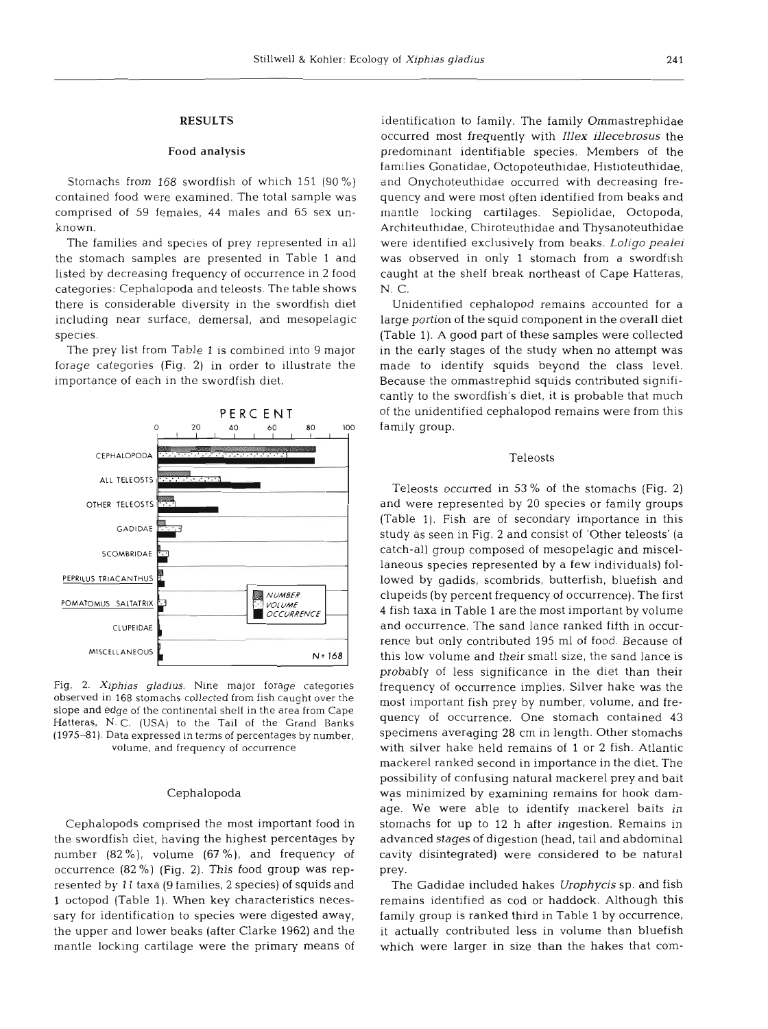## **RESULTS**

#### Food analysis

Stomachs from 168 swordfish of which 151 (90 %) contained food were examined. The total sample was comprised of 59 females, 44 males and 65 sex unknown.

The families and species of prey represented in all the stomach samples are presented in Table 1 and listed by decreasing frequency of occurrence in 2 food categories: Cephalopoda and teleosts. The table shows there is considerable diversity in the swordfish diet including near surface, demersal, and mesopelagic species.

The prey list from Table 1 is combined into 9 major forage categories (Fig. 2) in order to illustrate the importance of each in the swordfish diet.



**Fig.** *2. Xiphias gladius.* Nine major forage categories observed in 168 stomachs collected from fish caught over the slope and edge of the continental shelf in the area from Cape Hatteras, N. C. (USA) to the Tail of the Grand Banks (1975-81). Data expressed in terms of percentages by number, volume, and frequency of occurrence

### Cephalopoda

Cephalopods comprised the most important food in the swordfish diet, having the highest percentages by number (82 %), volume (67 %), and frequency of occurrence (82 %) (Fig. **2).** This food group was represented by 11 taxa (9 families, 2 species) of squids and l octopod (Table 1). When key characteristics necessary for identification to species were digested away, the upper and lower beaks (after Clarke 1962) and the mantle locking cartilage were the primary means of

identification to family. The family Ommastrephidae occurred most frequently with *Zllex illecebrosus* the predominant identifiable species. Members of the families Gonatidae, Octopoteuthidae, Histioteuthidae, and Onychoteuthidae occurred with decreasing frequency and were most often identified from beaks and mantle locking cartilages. Sepiolidae, Octopoda, Architeuthidae, Chiroteuthidae and Thysanoteuthidae were identified exclusively from beaks. *Loligo pealei*  was observed in only 1 stomach from a swordfish caught at the shelf break northeast of Cape Hatteras, N. C.

Unidentified cephalopod remains accounted for a large portion of the squid component in the overall diet (Table 1). A good part of these samples were collected in the early stages of the study when no attempt was made to identify squids beyond the class level. Because the ommastrephid squids contributed significantly to the swordfish's diet, it is probable that much of the unidentified cephalopod remains were from this family group.

### Teleosts

Teleosts occurred in 53 % of the stomachs (Fig. **2)**  and were represented by 20 species or family groups (Table 1). Fish are of secondary importance in this study as seen in Fig. 2 and consist of 'Other teleosts' (a catch-all group composed of mesopelagic and miscellaneous species represented by a few individuals) followed by gadids, scombrids, butterfish, bluefish and clupeids (by percent frequency of occurrence). The first 4 fish taxa in Table 1 are the most important by volume and occurrence. The sand lance ranked fifth in occurrence but only contributed 195 m1 of food. Because of this low volume and their small size, the sand lance is probably of less significance in the diet than their frequency of occurrence implies. Silver hake was the most important fish prey by number, volume, and frequency of occurrence. One stomach contained **43**  specimens averaging 28 cm in length. Other stomachs with silver hake held remains of 1 or 2 fish. Atlantic mackerel ranked second in importance in the diet. The possibility of confusing natural mackerel prey and bait was minimized by examining remains for hook damage. We were able to identify mackerel baits in stomachs for up to 12 h after ingestion. Remains in advanced stages of digestion (head, tail and abdominal cavity disintegrated) were considered to be natural prey.

The Gadidae included hakes *Urophycis* sp. and fish remains identified as cod or haddock. Although this family group is ranked third in Table 1 by occurrence, it actually contributed less in volume than bluefish which were larger in size than the hakes that com-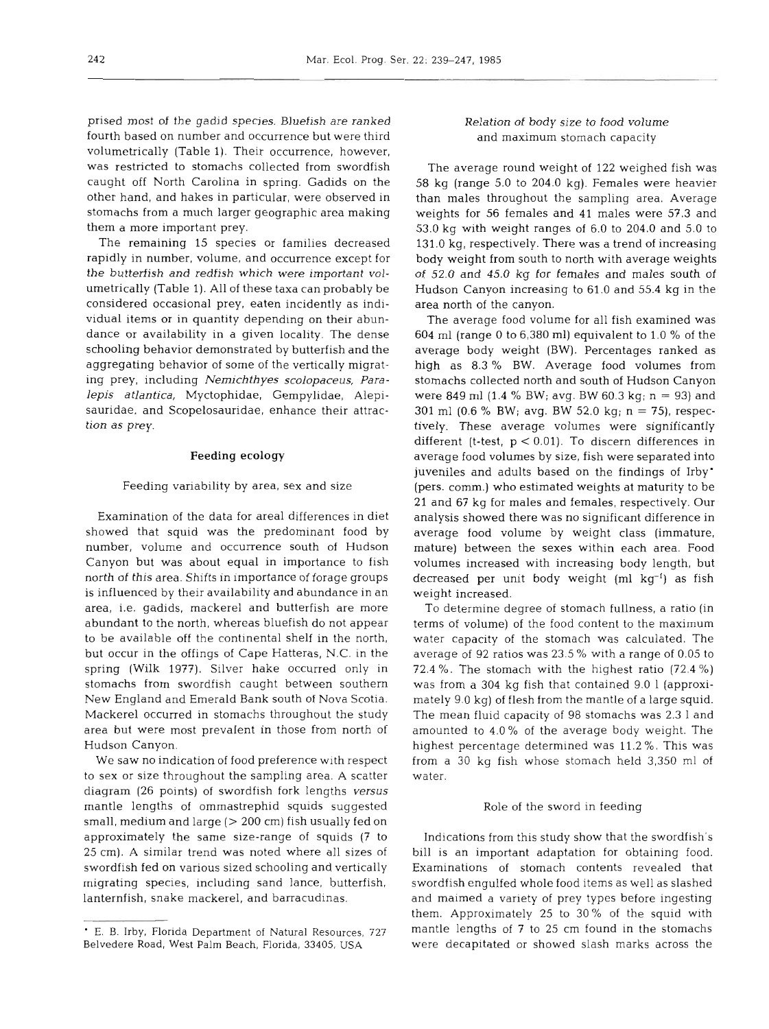prised most of the gadid species. Bluefish are ranked fourth based on number and occurrence but were third volumetrically (Table 1). Their occurrence, however, was restricted to stomachs collected from swordfish caught off North Carolina in spring. Gadids on the other hand, and hakes in particular, were observed in stomachs from a much larger geographic area making them a more important prey.

The remaining 15 species or families decreased rapidly in number, volume, and occurrence except for the butterfish and redfish which were important volumetrically (Table 1). All of these taxa can probably be considered occasional prey, eaten incidently as individual items or in quantity depending on their abundance or availability in a given locality. The dense schooling behavior demonstrated by butterfish and the aggregating behavior of some of the vertically migrating prey, including *Nemichthyes scolopaceus, Paralepis atlantica,* Myctophidae, Gempylidae, Alepisauridae, and Scopelosauridae, enhance their attraction as prey.

## **Feeding ecology**

## Feeding variability by area, sex and size

Examination of the data for area1 differences in diet showed that squid was the predominant food by number, volume and occurrence south of Hudson Canyon but was about equal in importance to fish north of this area. Shifts in importance of forage groups is influenced by their availability and abundance in an area, i.e. gadids, mackerel and butterfish are more abundant to the north, whereas bluefish do not appear to be available off the continental shelf in the north, but occur in the offings of Cape Hatteras, N.C. in the spring (Wilk 1977). Silver hake occurred only in stomachs from swordfish caught between southern New England and Emerald Bank south of Nova Scotia. Mackerel occurred in stomachs throughout the study area but were most prevalent in those from north of Hudson Canyon.

We saw no indication of food preference with respect to sex or size throughout the sampling area. A scatter diagram (26 points) of swordfish fork lengths *versus*  mantle lengths of ommastrephid squids suggested small, medium and large  $(> 200 \text{ cm})$  fish usually fed on approximately the same size-range of squids (7 to 25 cm). A similar trend was noted where all sizes of swordfish fed on various sized schooling and vertically migrating species, including sand lance, butterfish, lanternfish, snake mackerel, and barracudinas.

## Relation of body size to food volume and maximum stomach capacity

The average round weight of 122 weighed fish was 58 kg (range 5.0 to 204.0 kg). Females were heavier than males throughout the sampling area. Average weights for 56 females and 41 males were 57.3 and 53.0 kg with weight ranges of 6.0 to 204.0 and 5.0 to 131.0 kg, respectively. There was a trend of increasing body weight from south to north with average weights of 52.0 and 45.0 kg for females and males south of Hudson Canyon increasing to 61.0 and 55.4 kg in the area north of the canyon.

The average food volume for all fish examined was 604 m1 (range 0 to 6,380 ml) equivalent to 1.0 % of the average body weight (BW). Percentages ranked as high as 8.3 % BW. Average food volumes from stomachs collected north and south of Hudson Canyon were 849 ml  $(1.4\%$  BW; avg. BW 60.3 kg; n = 93) and 301 m1 (0.6 % BW; avg. BW 52.0 kg; n = 75), respectively. These average volumes were significantly different (t-test, p < 0.01). To discern differences in average food volumes by size, fish were separated into juveniles and adults based on the findings of Irby' (pers. comm.) who estimated weights at maturity to be 21 and 67 kg for males and females, respectively. Our analysis showed there was no significant difference in average food volume by weight class (immature, mature) between the sexes within each area. Food volumes increased with increasing body length, but decreased per unit body weight  $(ml kg^{-1})$  as fish weight increased.

To determine degree of stomach fullness, a ratio (in terms of volume) of the food content to the maximum water capacity of the stomach was calculated. The average of 92 ratios was 23.5 % with a range of 0.05 to 72.4 %. The stomach with the highest ratio (72.4 %) was from a 304 kg fish that contained 9.0 1 (approximately 9.0 kg) of flesh from the mantle of a large squid. The mean fluid capacity of 98 stomachs was 2.3 1 and amounted to 4.0 % of the average body weight. The highest percentage determined was 11.2 %. This was from a 30 kg fish whose stomach held 3,350 m1 of water.

#### Role of the sword in feeding

Indications from this study show that the swordfish's bill is an important adaptation for obtaining food. Examinations of stomach contents revealed that swordfish engulfed whole food items as well as slashed and maimed a variety of prey types before ingesting them. Approximately 25 to 30 % of the squid with mantle lengths of 7 to 25 cm found in the stomachs were decapitated or showed slash marks across the

E. B. Irby, Florida Department of Natural Resources, 727 Belvedere Road, West Palm Beach, Florida, 33405, USA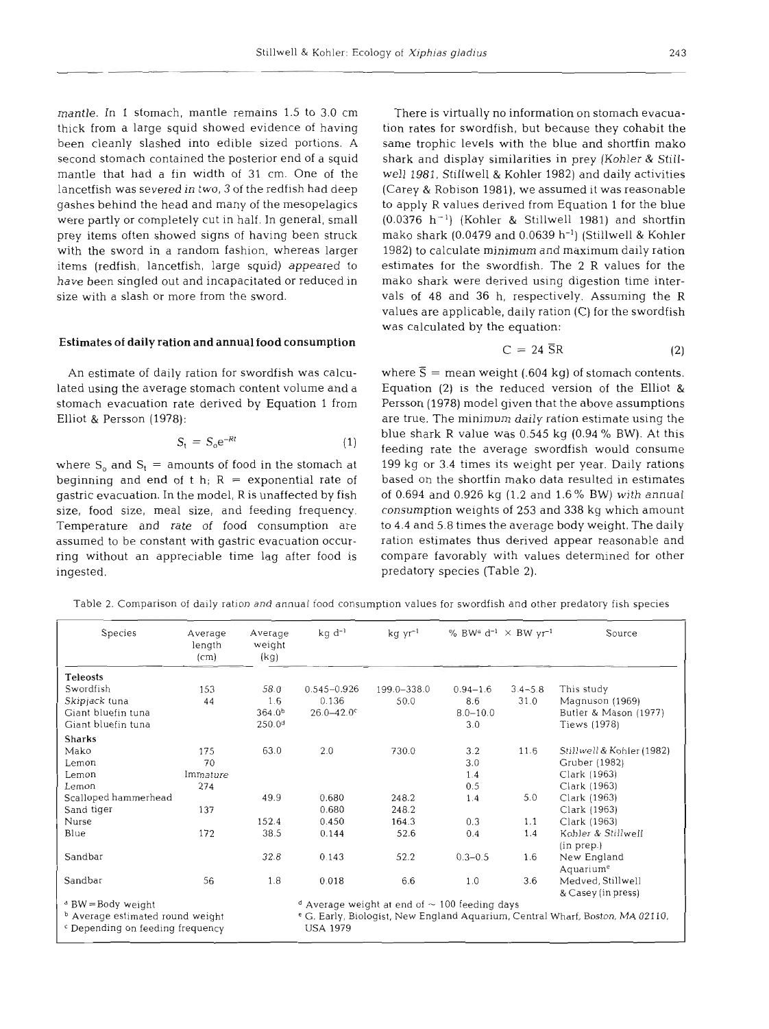mantle. In 1 stomach, mantle remains 1.5 to 3.0 cm thick from a large squid showed evidence of having been cleanly slashed into edible sized portions. **A**  second stomach contained the posterior end of a squid mantle that had a fin width of 31 cm. One of the lancetfish was severed in two, 3 of the redfish had deep gashes behind the head and many of the mesopelagics were partly or completely cut in half. In general, small prey items often showed signs of having been struck with the sword in a random fashion, whereas larger items (redfish, lancetfish, large squid) appeared to have been singled out and incapacitated or reduced in size with a slash or more from the sword.

#### Estimates of daily ration and annual food consumption

An estimate of daily ration for swordfish was calculated using the average stomach content volume and a stomach evacuation rate derived by Equation 1 from Elliot & Persson (1978):

$$
S_t = S_0 e^{-Rt} \tag{1}
$$

where  $S_0$  and  $S_t$  = amounts of food in the stomach at beginning and end of t h;  $R =$  exponential rate of gastric evacuation. In the model, R is unaffected by fish size, food size, meal size, and feeding frequency. Temperature and rate of food consumption are assumed to be constant with gastric evacuation occurring without an appreciable time lag after food is ingested.

There is virtually no information on stomach evacuation rates for swordfish, but because they cohabit the same trophic levels with the blue and shortfin mako shark and display similarities in prey (Kohler & Stillwell 1981, Stillwell & Kohler 1982) and daily activities (Carey & Robison 1981), we assumed it was reasonable to apply R values derived from Equation 1 for the blue  $(0.0376 \text{ h}^{-1})$  (Kohler & Stillwell 1981) and shortfin mako shark (0.0479 and 0.0639 h<sup>-1</sup>) (Stillwell & Kohler 1982) to calculate minimum and maximum daily ration estimates for the swordfish. The 2 R values for the mako shark were derived using digestion time intervals of 48 and 36 h, respectively. Assuming the R values are applicable, daily ration (C) for the swordfish was calculated by the equation:

$$
C = 24 \, \overline{SR} \tag{2}
$$

where  $\bar{S}$  = mean weight (.604 kg) of stomach contents. Equation (2) is the reduced version of the Elliot & Persson (1978) model given that the above assumptions are true. The minimum daily ration estimate using the blue shark R value was 0.545 kg (0.94 % BW). At this feeding rate the average swordfish would consume 199 kg or 3.4 times its weight per year. Daily rations based on the shortfin mako data resulted in estimates of 0.694 and 0.926 kg (1.2 and 1.6 % BW) with annual consumption weights of 253 and 338 kg which amount to 4.4 and 5.8 times the average body weight. The daily ration estimates thus derived appear reasonable and compare favorably with values determined for other predatory species (Table 2).

Table 2. Comparison of daily ration and annual food consumption values for swordfish and other predatory fish species

| Species                                     | Average<br>length<br>(cm) | Average<br>weight<br>(kg) | % BWa d <sup>-1</sup> $\times$ BW yr <sup>-1</sup><br>$kg d^{-1}$<br>$kgyr^{-1}$         |                                                               |              |             | Source                    |  |
|---------------------------------------------|---------------------------|---------------------------|------------------------------------------------------------------------------------------|---------------------------------------------------------------|--------------|-------------|---------------------------|--|
| <b>Teleosts</b>                             |                           |                           |                                                                                          |                                                               |              |             |                           |  |
| Swordfish                                   | 153                       | 58.0                      | $0.545 - 0.926$                                                                          | 199.0-338.0                                                   | $0.94 - 1.6$ | $3.4 - 5.8$ | This study                |  |
| Skipjack tuna                               | 44                        | 1.6                       | 0.136                                                                                    | 50.0                                                          | 8.6          | 31.0        | Magnuson (1969)           |  |
| Giant bluefin tuna                          |                           | $364.0^{b}$               | $26.0 - 42.0$ c                                                                          |                                                               | $8.0 - 10.0$ |             | Butler & Mason (1977)     |  |
| Giant bluefin tuna                          |                           | 250.0 <sup>d</sup>        |                                                                                          |                                                               | 3.0          |             | Tiews (1978)              |  |
| <b>Sharks</b>                               |                           |                           |                                                                                          |                                                               |              |             |                           |  |
| Mako                                        | 175                       | 63.0                      | 2.0                                                                                      | 730.0                                                         | 3.2          | 11.6        | Stillwell & Kohler (1982) |  |
| Lemon                                       | 70                        |                           |                                                                                          |                                                               | 3.0          |             | Gruber (1982)             |  |
| Lemon                                       | Immature                  |                           |                                                                                          |                                                               | 1.4          |             | Clark (1963)              |  |
| Lemon                                       | 274                       |                           |                                                                                          |                                                               | 0.5          |             | Clark (1963)              |  |
| Scalloped hammerhead                        |                           | 49.9                      | 0.680                                                                                    | 248.2                                                         | 1.4          | 5.0         | Clark (1963)              |  |
| Sand tiger                                  | 137                       |                           | 0.680                                                                                    | 248.2                                                         |              |             | Clark (1963)              |  |
| Nurse                                       |                           | 152.4                     | 0.450                                                                                    | 164.3                                                         | 0.3          | 1.1         | Clark (1963)              |  |
| Blue                                        | 172                       | 38.5                      | 0.144                                                                                    | 52.6                                                          | 0.4          | 1.4         | Kohler & Stillwell        |  |
|                                             |                           |                           |                                                                                          |                                                               |              |             | (in prep.)                |  |
| Sandbar                                     |                           | 32.8                      | 0.143                                                                                    | 52.2                                                          | $0.3 - 0.5$  | 1.6         | New England               |  |
|                                             |                           |                           |                                                                                          |                                                               |              |             | Aquarium <sup>e</sup>     |  |
| Sandbar                                     | 56                        | 1.8                       | 0.018                                                                                    | 6.6                                                           | 1.0          | 3.6         | Medved, Stillwell         |  |
|                                             |                           |                           |                                                                                          |                                                               |              |             | & Casey (in press)        |  |
| <sup>ª</sup> BW = Body weight               |                           |                           |                                                                                          | <sup>d</sup> Average weight at end of $\sim$ 100 feeding days |              |             |                           |  |
| <sup>b</sup> Average estimated round weight |                           |                           | <sup>e</sup> G. Early, Biologist, New England Aquarium, Central Wharf, Boston, MA 02110, |                                                               |              |             |                           |  |
| <sup>c</sup> Depending on feeding frequency |                           |                           | <b>USA 1979</b>                                                                          |                                                               |              |             |                           |  |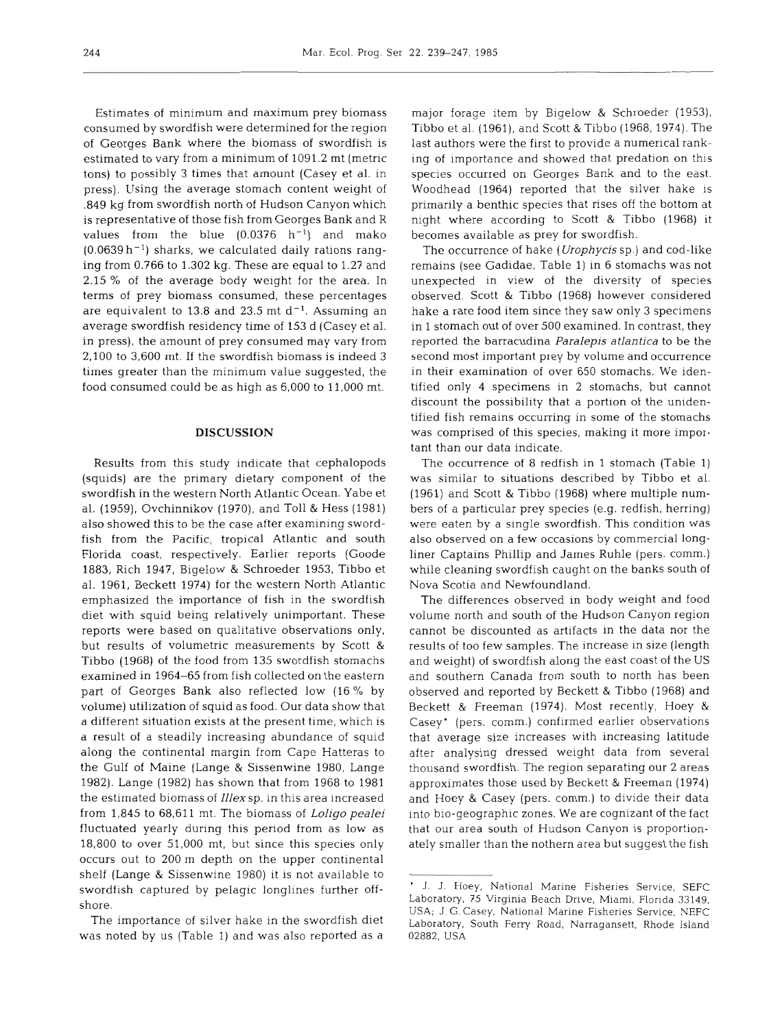Estimates of minimum and maximum prey biomass consumed by swordfish were determined for the region of Georges Bank where the biomass of swordfish is estimated to vary from a minimum of 1091.2 mt (metric tons) to possibly 3 times that amount (Casey et al. in press). Using the average stomach content weight of ,849 kg from swordfish north of Hudson Canyon which is representative of those fish from Georges Bank and R values from the blue  $(0.0376 \ h^{-1})$  and mako  $(0.0639 \, h^{-1})$  sharks, we calculated daily rations ranging from 0.766 to 1.302 kg. These are equal to 1.27 and 2.15 % of the average body weight for the area. In terms of prey biomass consumed, these percentages are equivalent to 13.8 and 23.5 mt  $d^{-1}$ . Assuming an average swordfish residency time of 153 d (Casey et al. in press), the amount of prey consumed may vary from 2,100 to 3,600 mt. If the swordfish biomass is indeed 3 times greater than the minimum value suggested, the food consumed could be as high as 6,000 to 11,000 mt.

#### **DISCUSSION**

Results from this study indicate that cephalopods (squids) are the primary dietary component of the swordfish in the western North Atlantic Ocean. Yabe et al. (1959), Ovchinnikov (1970), and Toll & Hess (1981) also showed this to be the case after examining swordfish from the Pacific, tropical Atlantic and south Florida coast, respectively. Earlier reports (Goode 1883, Rich 1947, Bigelow & Schroeder 1953, Tibbo et al. 1961, Beckett 1974) for the western North Atlantic emphasized the importance of fish in the swordfish diet with squid being relatively unimportant. These reports were based on qualitative observations only, but results of volumetric measurements by Scott & Tibbo (1968) of the food from 135 swordfish stomachs examined in 1964-65 from fish collected on the eastern part of Georges Bank also reflected low (16 % by volume) utilization of squid as food. Our data show that a different situation exists at the present time, which is a result of a steadily increasing abundance of squid along the continental margin from Cape Hatteras to the Gulf of Maine (Lange & Sissenwine 1980, Lange 1982). Lange (1982) has shown that from 1968 to 1981 the estimated biomass of *Illex* sp. in this area increased from 1,845 to 68,611 mt. The biomass of *Loligo* pealei fluctuated yearly during this period from as low as 18,800 to over 51,000 mt, but since this species only occurs out to 200 m depth on the upper continental shelf (Lange & Sissenwine 1980) it is not available to swordfish captured by pelagic longlines further offshore.

The importance of silver hake in the swordfish diet was noted by us (Table 1) and was also reported as a major forage item by Bigelow & Schroeder (1953), Tibbo et al. (1961), and Scott & Tibbo (1968, 1974). The last authors were the first to provide a numerical ranking of importance and showed that predation on this species occurred on Georges Bank and to the east. Woodhead (1964) reported that the silver hake is primarily a benthic species that rises off the bottom at night where according to Scott & Tibbo (1968) it becomes available as prey for swordfish.

The occurrence of hake (Urophycis sp.) and cod-like remains (see Gadidae, Table 1) in 6 stomachs was not unexpected in view of the diversity of species observed. Scott & Tibbo (1968) however considered hake a rare food item since they saw only 3 specimens in 1 stomach out of over 500 examined. In contrast, they reported the barracudina Paralepis atlantica to be the second most important prey by volume and occurrence in their examination of over 650 stomachs. We identified only 4 specimens in 2 stomachs, but cannot discount the possibility that a portion of the unidentified fish remains occurring in some of the stomachs was comprised of this species, making it more important than our data indicate.

The occurrence of 8 redfish in 1 stomach (Table 1) was similar to situations described by Tibbo et al. (1961) and Scott & Tibbo (1968) where multiple numbers of a particular prey species (e.g. redfish, herring) were eaten by a single swordfish. This condition was also observed on a few occasions by commercial longliner Captains Phillip and James Ruhle (pers. comm.) while cleaning swordfish caught on the banks south of Nova Scotia and Newfoundland.

The differences observed in body weight and food volume north and south of the Hudson Canyon region cannot be discounted as artifacts in the data nor the results of too few samples. The increase in size (length and weight) of swordfish along the east coast of the US and southern Canada from south to north has been observed and reported by Beckett & Tibbo (1968) and Beckett & Freeman (1974). Most recently, Hoey & Casey' (pers. comm.) confirmed earlier observations that average size increases with increasing latitude after analysing dressed weight data from several thousand swordfish. The region separating our 2 areas approximates those used by Beckett & Freeman (1974) and Hoey & Casey (pers. comm.) to divide their data into bio-geographic zones. We are cognizant of the fact that our area south of Hudson Canyon is proportionately smaller than the nothern area but suggest the fish

<sup>&#</sup>x27; J. J. Hoey, National Marine Fisheries Service, SEFC Laboratory, 75 Virginia Beach Drive, Miami, Florida 33149, USA; J. G. Casey, National Marine Fisheries Service, NEFC Laboratory. South Ferry Road. Narragansett, Rhode Island 02882, USA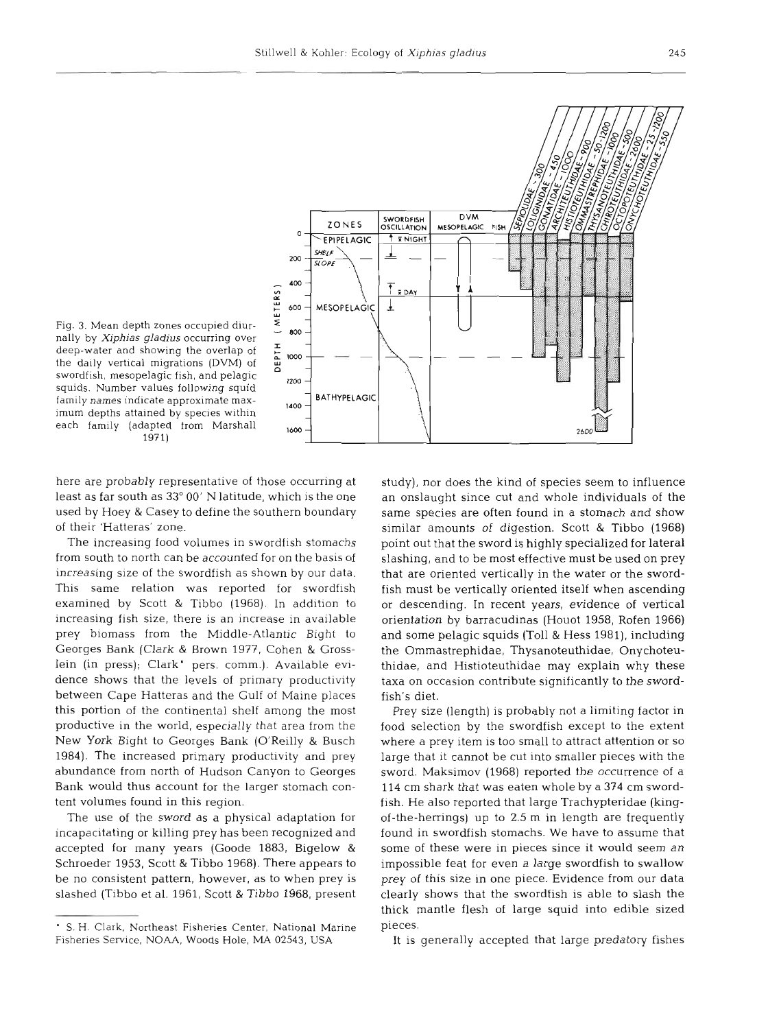

Fig. 3. Mean depth zones occupied diurnally by **Xiphias gladius** occurring over deep-water and showing the overlap of the daily vertical migrations (DVM) of swordfish, mesopelagic fish, and pelagic squids. Number values following squid family names indicate approximate maximum depths attained by species within each family (adapted from Marshal1 1971)

here are probably representative of those occurring at least as far south as 33" 00' N latitude, which is the one used by Hoey & Casey to define the southern boundary of their 'Hatteras' zone.

The increasing food volumes in swordfish stomachs from south to north can be accounted for on the basis of increasing size of the swordfish as shown by our data. This same relation was reported for swordfish examined by Scott & Tibbo (1968). In addition to increasing fish size, there is an increase in available prey biomass from the Middle-Atlantic Bight to Georges Bank (Clark & Brown 1977, Cohen & Grosslein (in press); Clark' pers, comm.). Available evidence shows that the levels of primary productivity between Cape Hatteras and the Gulf of Maine places this portion of the continental shelf among the most productive in the world, especially that area from the New York Bight to Georges Bank (O'Reilly & Busch 1984). The increased primary productivity and prey abundance from north of Hudson Canyon to Georges Bank would thus account for the larger stomach content volumes found in this region.

The use of the sword as a physical adaptation for incapacitating or killing prey has been recognized and accepted for many years (Goode 1883, Bigelow & Schroeder 1953, Scott & Tibbo 1968). There appears to be no consistent pattern, however, as to when prey is slashed (Tibbo et al. 1961, Scott & Tibbo 1968, present

study), nor does the kind of species seem to influence an onslaught since cut and whole individuals of the same species are often found in a stomach and show similar amounts of digestion. Scott & Tibbo (1968) point out that the sword is highly specialized for lateral slashing, and to be most effective must be used on prey that are oriented vertically in the water or the swordfish must be vertically oriented itself when ascending or descending. In recent years, evidence of vertical orientation by barracudinas (Houot 1958, Rofen 1966) and some pelagic squids (Toll & Hess 1981), including the Ommastrephidae, Thysanoteuthidae, Onychoteuthidae, and Histioteuthidae may explain why these taxa on occasion contribute significantly to the swordfish's diet.

Prey size (length) is probably not a limiting factor in food selection by the swordfish except to the extent where a prey item is too small to attract attention or so large that it cannot be cut into smaller pieces with the sword. Maksimov (1968) reported the occurrence of a 114 cm shark that was eaten whole by a **374** cm swordfish. He also reported that large Trachypteridae (kingof-the-herrings) up to 2.5 m in length are frequently found in swordfish stomachs. We have to assume that some of these were in pieces since it would seem an impossible feat for even a large swordfish to swallow prey of this size in one piece. Evidence from our data clearly shows that the swordfish is able to slash the thick mantle flesh of large squid into edible sized pieces.

It is generally accepted that large predatory fishes

S. H. Clark, Northeast Fisheries Center, National Marine Fisheries Service, **NOAA,** Woods Hole, MA 02543, USA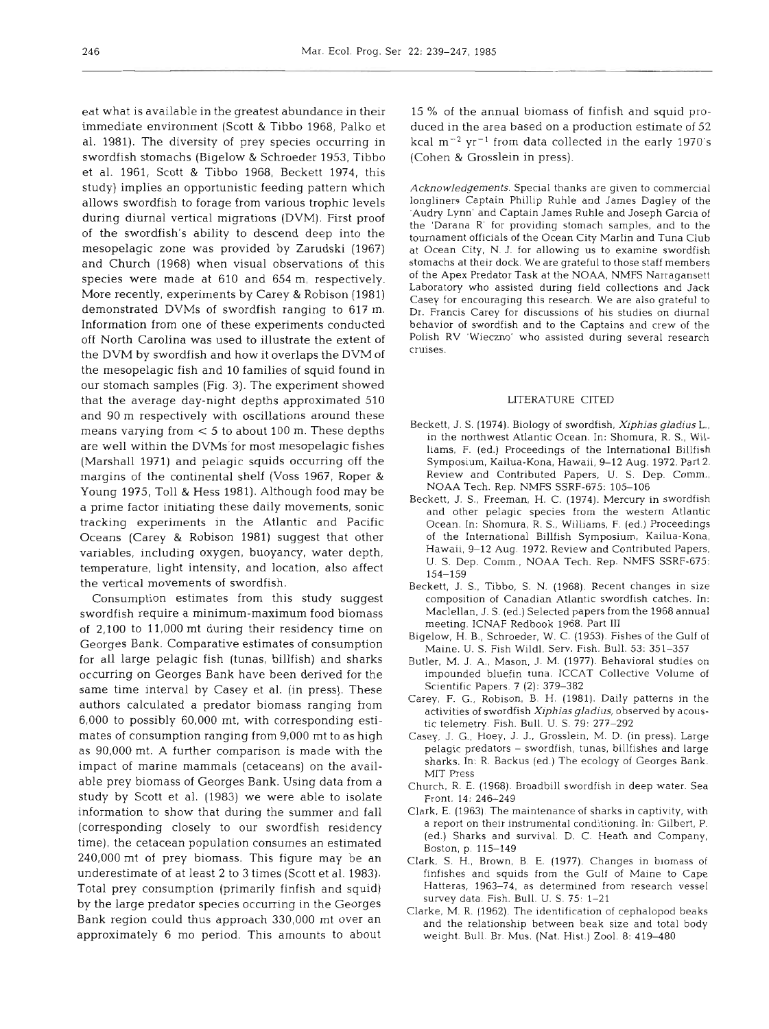eat what is available in the greatest abundance in their immediate environment (Scott & Tibbo 1968, Palko et al. 1981). The diversity of prey species occurring in swordfish stomachs (Bigelow & Schroeder 1953, Tibbo et al. 1961, Scott & Tibbo 1968, Beckett 1974, this study) implies an opportunistic feeding pattern which allows swordfish to forage from various trophic levels during diurnal vertical migrations (DVM). First proof of the swordfish's ability to descend deep into the mesopelagic zone was provided by Zarudski (1967) and Church (1968) when visual observations of this species were made at 610 and 654 m, respectively. More recently, experiments by Carey & Robison (1981) demonstrated DVMs of swordfish ranging to 617 m. Information from one of these experiments conducted off North Carolina was used to illustrate the extent of the DVM by swordfish and how it overlaps the DVM of the mesopelagic fish and 10 families of squid found in our stomach samples (Fig. 3). The experiment showed that the average day-night depths approximated 510 and 90 m respectively with oscillations around these means varying from  $<$  5 to about 100 m. These depths are well within the DVMs for most mesopelagic fishes (Marshal1 1971) and pelagic squids occurring off the margins of the continental shelf (Voss 1967, Roper & Young 1975, Toll & Hess 1981). Although food may be a prime factor initiating these daily movements, sonic tracking experiments in the Atlantic and Pacific Oceans (Carey & Robison 1981) suggest that other variables, including oxygen, buoyancy, water depth, temperature, light intensity, and location, also affect the vertical movements of swordfish.

Consumption estimates from this study suggest swordfish require a minimum-maximum food biomass of 2,100 to 11,000 mt during their residency time on Georges Bank. Comparative estimates of consumption for all large pelagic fish (tunas, billfish) and sharks occurring on Georges Bank have been derived for the same time interval by Casey et al. (in press). These authors calculated a predator biomass ranging from 6,000 to possibly 60,000 mt, with corresponding estimates of consumption ranging from 9,000 mt to as high as 90,000 mt. A further comparison is made with the impact of marine mammals (cetaceans) on the available prey biomass of Georges Bank. Using data from a study by Scott et al. (1983) we were able to isolate information to show that during the summer and fall (corresponding closely to our swordfish residency time), the cetacean population consumes an estimated 240,000 mt of prey biomass. This figure may be an underestimate of at least 2 to **3** times (Scott et al. 1983). Total prey consumption (primarily finfish and squid) by the large predator species occurring in the Georges Bank region could thus approach 330,000 mt over an approximately 6 mo period. This amounts to about

15 % of the annual biomass of finfish and squid produced in the area based on a production estimate of 52 kcal  $m^{-2}$  yr<sup>-1</sup> from data collected in the early 1970's (Cohen & Crosslein in press).

*Acknowledgements.* Special thanks are given to commercial longliners Captain Phillip Ruhle and James Dagley of the 'Audry Lynn' and Captain James Ruhle and Joseph Garcia of the 'Darana R' for providing stomach samples, and to the tournament officials of the Ocean City Marlin and Tuna Club at Ocean City, N. J, for allowing us to examine swordfish stomachs at their dock. We are qrateful to those staff members of the Apex Predator Task at the NOAA, NMFS Narragansett Laboratory who assisted during field collections and Jack Casey for encouraging this research. We are also grateful to Dr. Francis Carey for discussions of his studies on diurnal behavior of swordfish and to the Captains and crew of the Polish RV 'Wieczno' who assisted during several research cruises.

## LITERATURE CITED

- Beckett, J. S. (1974). Biology of swordfish, *Xiphias gladius* L., in the northwest Atlantic Ocean. In: Shomura, R. S., Williams, F. (ed.) Proceedings of the International Billfish Symposium, Kailua-Kona, Hawaii, 9-12 Aug. 1972. Part 2. Review and Contributed Papers, U. S. Dep. Comm., NOAA Tech. Rep. NMFS SSRF-675: 105-106
- Beckett, J. S., Freeman, H. C. (1974). Mercury in swordfish and other pelagic species from the western Atlantic Ocean. In: Shomura. R. S.. Williams, F. (ed.) Proceedings of the International Billfish Symposium, Kailua-Kona, Hawaii, 9-12 Aug. 1972. Review and Contributed Papers, U. S. Dep. Comm., NOAA Tech. Rep. NMFS SSRF-675: 154-159
- Beckett, J. S., Tibbo, S. N. (1968). Recent changes in size composition of Canadian Atlantic swordfish catches. In: Maclellan, J. S. (ed.) Selected papers from the 1968 annual meeting. ICNAF Redbook 1968. Part I11
- Bigelow, H. B., Schroeder, W. C. (1953). Fishes of the Gulf of Maine. U. S. Fish Wildl. Sen. Fish. Bull. 53: 351-357
- Butler, M. J. A., Mason, J. M. (1977). Behavioral studies on impounded bluefin tuna. ICCAT Collective Volume of Scientific Papers. 7 (2): 379-382
- Carey, F. G., Robison, B. H. (1981). Dally patterns in the activities of swordfish *Xiphias gladius,* observed by acoustic telemetry. Fish. Bull. U. S. 79: 277-292
- Casey, J. G., Hoey, J. J., Grosslein. M. D. (in press). Large pelagic predators - swordfish, tunas, billfishes and large sharks. In: R. Backus (ed.) The ecology of Georges Bank. MIT Press
- Church. R. E. (1968). Broadbill swordfish in deep water. Sea Front. 14: 246-249
- Clark. E. (1963). The maintenance of sharks in captivity, with a report on their instrumental conditioning. In: Gilbert, P. (ed.) Sharks and survival. D. C. Heath and Company, Boston, p. 115-149
- Clark. S. H., Brown, B. E. (1977). Changes in biomass of finfishes and squids from the Gulf of Maine to Cape Hatteras, 1963-74, as determined from research vessel survey data. Fish. Bull. U. S. 75: 1-21
- Clarke, M. R. (1962). The identification of cephalopod beaks and the relationship between beak size and total body weight. Bull. Br. Mus. (Nat. Hist.) Zool. 8: 419-480